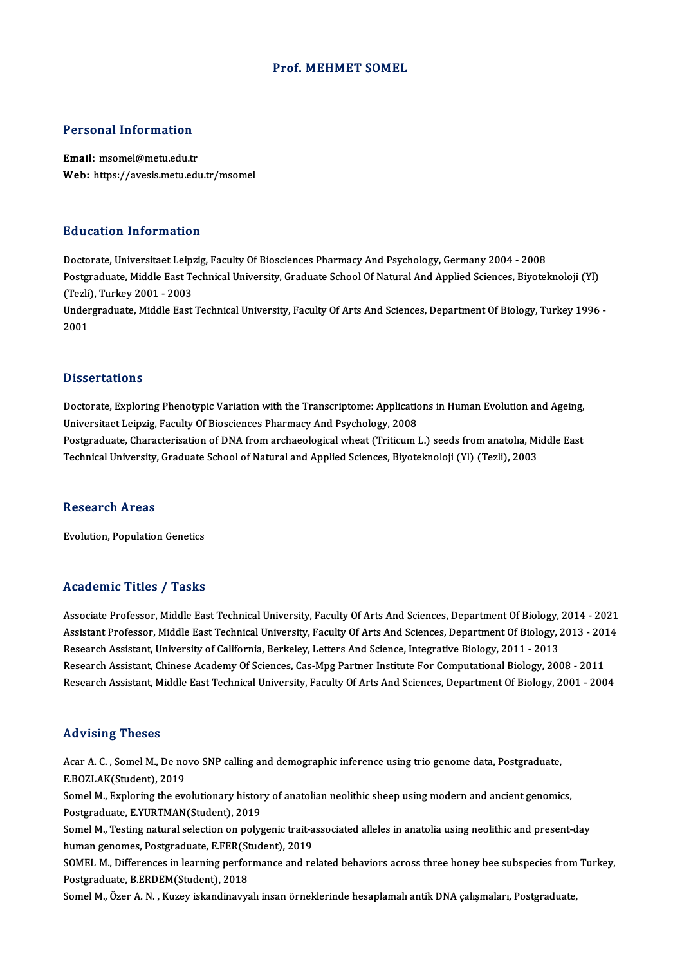### Prof.MEHMET SOMEL

# Personal Information

Personal Information<br>Email: msomel@metu.edu.tr<br>Web: https://avesis.msty.edu Email: msomel@metu.edu.tr<br>Web: https://avesis.metu.edu.tr/msomel

#### Education Information

Doctorate, Universitaet Leipzig, Faculty Of Biosciences Pharmacy And Psychology, Germany 2004 - 2008 Postgraduate, Middle East Technical University, Graduate School Of Natural And Applied Sciences, Biyoteknoloji (Yl) Doctorate, Universitaet Leip;<br>Postgraduate, Middle East Te<br>(Tezli), Turkey 2001 - 2003<br>Undergraduate, Middle East

Undergraduate, Middle East Technical University, Faculty Of Arts And Sciences, Department Of Biology, Turkey 1996 -<br>2001 (Tezli)<br>Under<br>2001

#### **Dissertations**

Dissertations<br>Doctorate, Exploring Phenotypic Variation with the Transcriptome: Applications in Human Evolution and Ageing,<br>Universited Leinzig, Fosulty Of Piessianees Pharmagy And Peychology, 2009. Disser carrens<br>Doctorate, Exploring Phenotypic Variation with the Transcriptome: Applicatic<br>Universitaet Leipzig, Faculty Of Biosciences Pharmacy And Psychology, 2008<br>Postanoduate Characterisation of DNA from archaeologica Doctorate, Exploring Phenotypic Variation with the Transcriptome: Applications in Human Evolution and Ageing,<br>Universitaet Leipzig, Faculty Of Biosciences Pharmacy And Psychology, 2008<br>Postgraduate, Characterisation of DNA

Universitaet Leipzig, Faculty Of Biosciences Pharmacy And Psychology, 2008<br>Postgraduate, Characterisation of DNA from archaeological wheat (Triticum L.) seeds from anatolia, Middle East<br>Technical University, Graduate Schoo

#### **Research Areas**

Evolution, Population Genetics

### Academic Titles / Tasks

Associate Professor, Middle East Technical University, Faculty Of Arts And Sciences, Department Of Biology, 2014 - 2021 Associate Professor, Middle East Technical University, Faculty Of Arts And Sciences, Department Of Biology, 2014 - 2021<br>Assistant Professor, Middle East Technical University, Faculty Of Arts And Sciences, Department Of Bio Research Assistant, University of California, Berkeley, Letters And Science, Integrative Biology, 2011 - 2013<br>Research Assistant, Chinese Academy Of Sciences, Cas-Mpg Partner Institute For Computational Biology, 2008 - 201 Assistant Professor, Middle East Technical University, Faculty Of Arts And Sciences, Department Of Biology, 2013 - 201<br>Research Assistant, University of California, Berkeley, Letters And Science, Integrative Biology, 2011 Research Assistant, Middle East Technical University, Faculty Of Arts And Sciences, Department Of Biology, 2001 - 2004

#### Advising Theses

Advising Theses<br>Acar A. C. , Somel M., De novo SNP calling and demographic inference using trio genome data, Postgraduate,<br>E POZLAK(Student), 2019 E.<br>Acar A. C. , Somel M., De no<br>E.BOZLAK(Student), 2019<br>Somel M. Evploring the eve Acar A. C. , Somel M., De novo SNP calling and demographic inference using trio genome data, Postgraduate,<br>E.BOZLAK(Student), 2019<br>Somel M., Exploring the evolutionary history of anatolian neolithic sheep using modern and

E.BOZLAK(Student), 2019<br>Somel M., Exploring the evolutionary histor<br>Postgraduate, E.YURTMAN(Student), 2019<br>Somel M. Testing natural selection on nalys Somel M., Exploring the evolutionary history of anatolian neolithic sheep using modern and ancient genomics,<br>Postgraduate, E.YURTMAN(Student), 2019<br>Somel M., Testing natural selection on polygenic trait-associated alleles

Postgraduate, E.YURTMAN(Student), 2019<br>Somel M., Testing natural selection on polygenic trait-a<br>human genomes, Postgraduate, E.FER(Student), 2019<br>SOMEL M. Differences in learning performance and re Somel M., Testing natural selection on polygenic trait-associated alleles in anatolia using neolithic and present-day<br>human genomes, Postgraduate, E.FER(Student), 2019<br>SOMEL M., Differences in learning performance and rela

human genomes, Postgraduate, E.FER(St<br>SOMEL M., Differences in learning perfor<br>Postgraduate, B.ERDEM(Student), 2018<br>Somel M. Özer A. N., Kurey iskandinery

Somel M., Özer A. N., Kuzey iskandinavyalı insan örneklerinde hesaplamalı antik DNA çalışmaları, Postgraduate,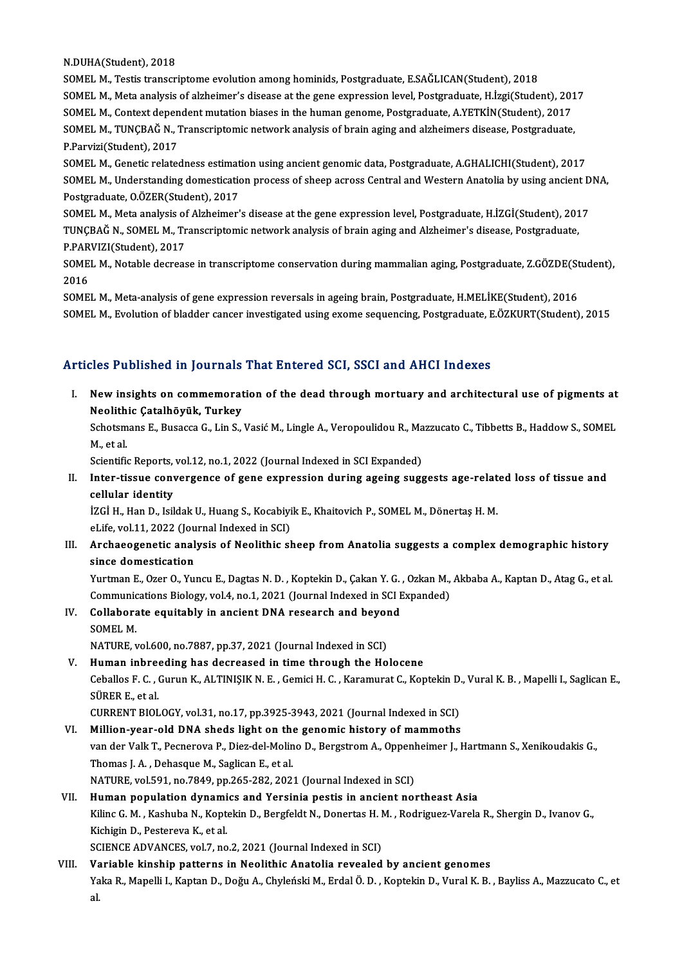N.DUHA(Student),2018

SOMELM.,Testis transcriptome evolutionamonghominids,Postgraduate,E.SAĞLICAN(Student),2018 SOMEL M., Meta analysis of alzheimer's disease at the gene expression level, Postgraduate, H.İzgi(Student), 2017 SOMEL M., Testis transcriptome evolution among hominids, Postgraduate, E.SAĞLICAN(Student), 2018<br>SOMEL M., Meta analysis of alzheimer's disease at the gene expression level, Postgraduate, H.İzgi(Student), 201<br>SOMEL M., Con SOMEL M., TUNÇBAĞ N., Transcriptomic network analysis of brain aging and alzheimers disease, Postgraduate,<br>P.Parvizi(Student), 2017 SOMEL M., Context depen<br>SOMEL M., TUNÇBAĞ N., 1<br>P.Parvizi(Student), 2017<br>SOMEL M. Constis relates SOMEL M., TUNÇBAĞ N., Transcriptomic network analysis of brain aging and alzheimers disease, Postgraduate,<br>P.Parvizi(Student), 2017<br>SOMEL M., Genetic relatedness estimation using ancient genomic data, Postgraduate, A.GHALI

P.Parvizi(Student), 2017<br>SOMEL M., Genetic relatedness estimation using ancient genomic data, Postgraduate, A.GHALICHI(Student), 2017<br>SOMEL M., Understanding domestication process of sheep across Central and Western Anatol SOMEL M., Genetic relatedness estimat<br>SOMEL M., Understanding domesticatic<br>Postgraduate, O.ÖZER(Student), 2017<br>SOMEL M. Meta analysis of Alzheimar' SOMEL M., Understanding domestication process of sheep across Central and Western Anatolia by using ancient D<br>Postgraduate, O.ÖZER(Student), 2017<br>SOMEL M., Meta analysis of Alzheimer's disease at the gene expression level,

Postgraduate, O.ÖZER(Student), 2017<br>SOMEL M., Meta analysis of Alzheimer's disease at the gene expression level, Postgraduate, H.İZGİ(Student), 201<br>TUNÇBAĞ N., SOMEL M., Transcriptomic network analysis of brain aging and A SOMEL M., Meta analysis of<br>TUNÇBAĞ N., SOMEL M., Tr<br>P.PARVIZI(Student), 2017<br>SOMEL M. Natable desress TUNÇBAĞ N., SOMEL M., Transcriptomic network analysis of brain aging and Alzheimer's disease, Postgraduate,<br>P.PARVIZI(Student), 2017<br>SOMEL M., Notable decrease in transcriptome conservation during mammalian aging, Postgrad

P.PAR<br>SOME<br>2016<br>SOME SOMEL M., Notable decrease in transcriptome conservation during mammalian aging, Postgraduate, Z.GÖZDE(St<br>2016<br>SOMEL M., Meta-analysis of gene expression reversals in ageing brain, Postgraduate, H.MELİKE(Student), 2016<br>SOM

2016<br>SOMEL M., Meta-analysis of gene expression reversals in ageing brain, Postgraduate, H.MELİKE(Student), 2016<br>SOMEL M., Evolution of bladder cancer investigated using exome sequencing, Postgraduate, E.ÖZKURT(Student), 2

## Articles Published in Journals That Entered SCI, SSCI and AHCI Indexes

rticles Published in Journals That Entered SCI, SSCI and AHCI Indexes<br>I. New insights on commemoration of the dead through mortuary and architectural use of pigments at<br>Neelithis Catalhävük, Turkey New insights on commemorat<br>Neolithic Çatalhöyük, Turkey<br>Schatemans E. Busacce C. Lin S. New insights on commemoration of the dead through mortuary and architectural use of pigments at<br>Neolithic Çatalhöyük, Turkey<br>Schotsmans E., Busacca G., Lin S., Vasić M., Lingle A., Veropoulidou R., Mazzucato C., Tibbetts B

Neolith<br>Schotsm<br>M., et al.<br>Scientifie Schotsmans E., Busacca G., Lin S., Vasić M., Lingle A., Veropoulidou R., Ma<br>M., et al.<br>Scientific Reports, vol.12, no.1, 2022 (Journal Indexed in SCI Expanded)<br>Inter tissue senyergence of sene expression during assing sugg

## M., et al.<br>Scientific Reports, vol.12, no.1, 2022 (Journal Indexed in SCI Expanded)<br>II. Inter-tissue convergence of gene expression during ageing suggests age-related loss of tissue and<br>collular identity Scientific Reports, vol.12, no.1, 2022 (Journal Indexed in SCI Expanded)<br>Inter-tissue convergence of gene expression during ageing suggests age-relat<br>cellular identity<br>İZGİ H., Han D., Isildak U., Huang S., Kocabiyik E., K Inter-tissue convergence of gene expression during ageing suggests age-relat<br>cellular identity<br>İZGİ H., Han D., Isildak U., Huang S., Kocabiyik E., Khaitovich P., SOMEL M., Dönertaş H. M.<br>el ife vel 11, 2022 (Journal Indev

eLife, vol.11, 2022 (Journal Indexed in SCI)

## IZGİ H., Han D., Isildak U., Huang S., Kocabiyik E., Khaitovich P., SOMEL M., Dönertaş H. M.<br>eLife, vol.11, 2022 (Journal Indexed in SCI)<br>III. Archaeogenetic analysis of Neolithic sheep from Anatolia suggests a complex dem eLife, vol.11, 2022 (Jou<br>Archaeogenetic anal<br>since domestication<br>Vurtman E. Ozer O. Vur Archaeogenetic analysis of Neolithic sheep from Anatolia suggests a complex demographic history<br>since domestication<br>Yurtman E., Ozer O., Yuncu E., Dagtas N. D. , Koptekin D., Çakan Y. G. , Ozkan M., Akbaba A., Kaptan D., A

since domestication<br>Yurtman E., Ozer O., Yuncu E., Dagtas N. D. , Koptekin D., Çakan Y. G. , Ozkan M.,<br>Communications Biology, vol.4, no.1, 2021 (Journal Indexed in SCI Expanded)<br>Collaborate equitably in angiont DNA, resea Yurtman E., Ozer O., Yuncu E., Dagtas N. D. , Koptekin D., Çakan Y. G.<br>Communications Biology, vol.4, no.1, 2021 (Journal Indexed in SCI E<br>IV. Collaborate equitably in ancient DNA research and beyond<br>SOMEL M

## Communications Biology, vol.4, no.1, 2021 (Journal Indexed in SCI Expanded)<br>IV. Collaborate equitably in ancient DNA research and beyond<br>SOMEL M.

NATURE, vol.600, no.7887, pp.37, 2021 (Journal Indexed in SCI)

## SOMEL M.<br>NATURE, vol.600, no.7887, pp.37, 2021 (Journal Indexed in SCI)<br>V. Human inbreeding has decreased in time through the Holocene<br>Coballes E.C. Curup K. ALTINISIK N.E. Comici H.C. Koromurat C. Kor NATURE, vol.600, no.7887, pp.37, 2021 (Journal Indexed in SCI)<br><mark>Human inbreeding has decreased in time through the Holocene</mark><br>Ceballos F. C. , Gurun K., ALTINIŞIK N. E. , Gemici H. C. , Karamurat C., Koptekin D., Vural K. B Human inbree<br>Ceballos F. C. , O<br>SÜRER E., et al.<br>CUPPENT PIOL Ceballos F. C. , Gurun K., ALTINIŞIK N. E. , Gemici H. C. , Karamurat C., Koptekin D.<br>SÜRER E., et al.<br>CURRENT BIOLOGY, vol.31, no.17, pp.3925-3943, 2021 (Journal Indexed in SCI)<br>Millian wear ald DNA shads light an the gan SÜRER E., et al.<br>CURRENT BIOLOGY, vol.31, no.17, pp.3925-3943, 2021 (Journal Indexed in SCI)<br>VI. Million-year-old DNA sheds light on the genomic history of mammoths<br>van der Vella T. Beenereus B. Diez del Meline D. Bergstre

## CURRENT BIOLOGY, vol.31, no.17, pp.3925-3943, 2021 (Journal Indexed in SCI)<br>Million-year-old DNA sheds light on the genomic history of mammoths<br>van der Valk T., Pecnerova P., Diez-del-Molino D., Bergstrom A., Oppenheimer J Million-year-old DNA sheds light on the<br>van der Valk T., Pecnerova P., Diez-del-Molin<br>Thomas J. A. , Dehasque M., Saglican E., et al.<br>NATUPE vol 591, no 7949, nn 265, 292, 202. NATURE, vol.591, no.7849, pp.265-282, 2021 (Journal Indexed in SCI) Thomas J. A., Dehasque M., Saglican E., et al.<br>NATURE, vol.591, no.7849, pp.265-282, 2021 (Journal Indexed in SCI)<br>VII. Human population dynamics and Yersinia pestis in ancient northeast Asia<br>Kiling G. M., Kashuba N., Kant

## NATURE, vol.591, no.7849, pp.265-282, 2021 (Journal Indexed in SCI)<br>Human population dynamics and Yersinia pestis in ancient northeast Asia<br>Kilinc G. M. , Kashuba N., Koptekin D., Bergfeldt N., Donertas H. M. , Rodriguez-V Human population dynami<br>Kilinc G. M. , Kashuba N., Kopt<br>Kichigin D., Pestereva K., et al.<br>SCIENCE ADVANCES vol 7, no Kilinc G. M. , Kashuba N., Koptekin D., Bergfeldt N., Donertas H. N.<br>Kichigin D., Pestereva K., et al.<br>SCIENCE ADVANCES, vol.7, no.2, 2021 (Journal Indexed in SCI)<br>Verjable kinebin petterne in Neolithic Anatolia revealed Kichigin D., Pestereva K., et al.<br>SCIENCE ADVANCES, vol.7, no.2, 2021 (Journal Indexed in SCI)<br>VIII. Variable kinship patterns in Neolithic Anatolia revealed by ancient genomes

Yaka R., Mapelli I., Kaptan D., Doğu A., Chyleński M., Erdal Ö. D. , Koptekin D., Vural K. B. , Bayliss A., Mazzucato C., et<br>al. Va<br>Ya<br>al.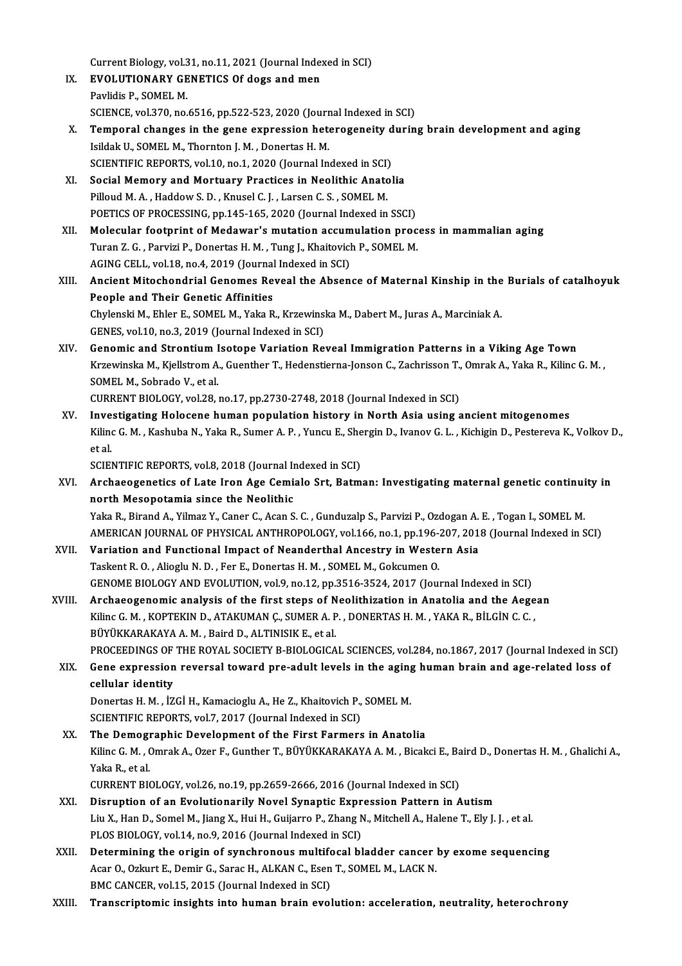Current Biology, vol.31, no.11, 2021 (Journal Indexed in SCI)<br>FVOLUTIONARY CENETICS Of dags and man

- IX. EVOLUTIONARY GENETICS Of dogs and men<br>Pavlidis P., SOMEL M. Current Biology, vol.3<br>**EVOLUTIONARY GE**<br>Pavlidis P., SOMEL M.<br>SCIENCE vol.370, po EVOLUTIONARY GENETICS Of dogs and men<br>Pavlidis P., SOMEL M.<br>SCIENCE, vol.370, no.6516, pp.522-523, 2020 (Journal Indexed in SCI)<br>Temperal shapese in the sone eupressian heteroseneity durin
- Pavlidis P., SOMEL M.<br>SCIENCE, vol.370, no.6516, pp.522-523, 2020 (Journal Indexed in SCI)<br>X. Temporal changes in the gene expression heterogeneity during brain development and aging<br>Jeildak H. SOMEL M. Thernton L.M., Depe SCIENCE, vol.370, no.6516, pp.522-523, 2020 (Journ<br>Temporal changes in the gene expression het<br>Isildak U., SOMEL M., Thornton J. M. , Donertas H. M.<br>SCIENTIEIC PEPOPTS vol.10 no.1, 2020 (Journal In Temporal changes in the gene expression heterogeneity d<br>Isildak U., SOMEL M., Thornton J. M. , Donertas H. M.<br>SCIENTIFIC REPORTS, vol.10, no.1, 2020 (Journal Indexed in SCI)<br>Secial Memery and Mertuary Brastices in Neolithi Isildak U., SOMEL M., Thornton J. M., Donertas H. M.<br>SCIENTIFIC REPORTS, vol.10, no.1, 2020 (Journal Indexed in SCI)<br>XI. Social Memory and Mortuary Practices in Neolithic Anatolia<br>Billoud M.A., Hoddow S.D., Knusel G.J., Jo
- SCIENTIFIC REPORTS, vol.10, no.1, 2020 (Journal Indexed in SCI)<br>Social Memory and Mortuary Practices in Neolithic Anato<br>Pilloud M. A. , Haddow S. D. , Knusel C. J. , Larsen C. S. , SOMEL M.<br>POETICS OF PROCESSING np.145, 16 Social Memory and Mortuary Practices in Neolithic Anatolia<br>Pilloud M. A. , Haddow S. D. , Knusel C. J. , Larsen C. S. , SOMEL M.<br>POETICS OF PROCESSING, pp.145-165, 2020 (Journal Indexed in SSCI)<br>Melecular footprint of Mode
- Pilloud M. A., Haddow S. D., Knusel C. J., Larsen C. S., SOMEL M.<br>POETICS OF PROCESSING, pp.145-165, 2020 (Journal Indexed in SSCI)<br>XII. Molecular footprint of Medawar's mutation accumulation process in mammalian aging<br>Tur POETICS OF PROCESSING, pp.145-165, 2020 (Journal Indexed in SSCI)<br>Molecular footprint of Medawar's mutation accumulation proc<br>Turan Z. G., Parvizi P., Donertas H. M., Tung J., Khaitovich P., SOMEL M.<br>ACING CELL, vol.19, po Molecular footprint of Medawar's mutation accum<br>Turan Z. G. , Parvizi P., Donertas H. M. , Tung J., Khaitovich<br>AGING CELL, vol.18, no.4, 2019 (Journal Indexed in SCI)<br>Angiont Mitoshondrial Conomes Poweel the Absen Turan Z. G. , Parvizi P., Donertas H. M. , Tung J., Khaitovich P., SOMEL M.<br>AGING CELL, vol.18, no.4, 2019 (Journal Indexed in SCI)<br>XIII. Ancient Mitochondrial Genomes Reveal the Absence of Maternal Kinship in the Buri
- AGING CELL, vol.18, no.4, 2019 (Journal<br>Ancient Mitochondrial Genomes Re<br>People and Their Genetic Affinities<br>Chylongki M. Fhlon E. SOMEL M. Volta B Ancient Mitochondrial Genomes Reveal the Absence of Maternal Kinship in the<br>People and Their Genetic Affinities<br>Chylenski M., Ehler E., SOMEL M., Yaka R., Krzewinska M., Dabert M., Juras A., Marciniak A.<br>CENES vol.10, no.2 People and Their Genetic Affinities<br>Chylenski M., Ehler E., SOMEL M., Yaka R., Krzewinska M., Dabert M., Juras A., Marciniak A.<br>GENES, vol.10, no.3, 2019 (Journal Indexed in SCI)
- XIV. Genomic and StrontiumIsotope Variation Reveal Immigration Patterns in a Viking Age Town GENES, vol.10, no.3, 2019 (Journal Indexed in SCI)<br>Genomic and Strontium Isotope Variation Reveal Immigration Patterns in a Viking Age Town<br>Krzewinska M., Kjellstrom A., Guenther T., Hedenstierna-Jonson C., Zachrisson T., **Genomic and Strontium I<br>Krzewinska M., Kjellstrom A.<br>SOMEL M., Sobrado V., et al.<br>CUPPENT PIOLOCY vol 28** Krzewinska M., Kjellstrom A., Guenther T., Hedenstierna-Jonson C., Zachrisson T.,<br>SOMEL M., Sobrado V., et al.<br>CURRENT BIOLOGY, vol.28, no.17, pp.2730-2748, 2018 (Journal Indexed in SCI)<br>Investigating Helesene buman nopula SOMEL M., Sobrado V., et al.<br>CURRENT BIOLOGY, vol.28, no.17, pp.2730-2748, 2018 (Journal Indexed in SCI)<br>XV. Investigating Holocene human population history in North Asia using ancient mitogenomes
- CURRENT BIOLOGY, vol.28, no.17, pp.2730-2748, 2018 (Journal Indexed in SCI)<br>I<mark>nvestigating Holocene human population history in North Asia using ancient mitogenomes<br>Kilinc G. M. , Kashuba N., Yaka R., Sumer A. P. , Yuncu E</mark> I<mark>nve</mark><br>Kilino<br>et al.<br>scipi Kilinc G. M. , Kashuba N., Yaka R., Sumer A. P. , Yuncu E., She<br>et al.<br>SCIENTIFIC REPORTS, vol.8, 2018 (Journal Indexed in SCI)<br>Archaeograpatics of Late Jron Age Comiale Srt. Petm

SCIENTIFIC REPORTS, vol.8, 2018 (Journal Indexed in SCI)

- et al.<br>SCIENTIFIC REPORTS, vol.8, 2018 (Journal Indexed in SCI)<br>XVI. Archaeogenetics of Late Iron Age Cemialo Srt, Batman: Investigating maternal genetic continuity in<br>north Mesopotamia since the Neolithic Yaka R., Birand A., Yilmaz Y., Caner C., Acan S. C., Gunduzalp S., Parvizi P., Ozdogan A. E., Togan I., SOMEL M. north Mesopotamia since the Neolithic<br>Yaka R., Birand A., Yilmaz Y., Caner C., Acan S. C. , Gunduzalp S., Parvizi P., Ozdogan A. E. , Togan I., SOMEL M.<br>AMERICAN JOURNAL OF PHYSICAL ANTHROPOLOGY, vol.166, no.1, pp.196-207, Yaka R., Birand A., Yilmaz Y., Caner C., Acan S. C. , Gunduzalp S., Parvizi P., Ozdogan A.<br>AMERICAN JOURNAL OF PHYSICAL ANTHROPOLOGY, vol.166, no.1, pp.196-207, 201<br>XVII. Variation and Functional Impact of Neanderthal Ance
- AMERICAN JOURNAL OF PHYSICAL ANTHROPOLOGY, vol.166, no.1, pp.196-<br>Variation and Functional Impact of Neanderthal Ancestry in Weste<br>Taskent R. O. , Alioglu N. D. , Fer E., Donertas H. M. , SOMEL M., Gokcumen O.<br>CENOME PIOLO Variation and Functional Impact of Neanderthal Ancestry in Western Asia<br>Taskent R. O. , Alioglu N. D. , Fer E., Donertas H. M. , SOMEL M., Gokcumen O.<br>GENOME BIOLOGY AND EVOLUTION, vol.9, no.12, pp.3516-3524, 2017 (Journal Taskent R. O., Alioglu N. D., Fer E., Donertas H. M., SOMEL M., Gokcumen O.<br>GENOME BIOLOGY AND EVOLUTION, vol.9, no.12, pp.3516-3524, 2017 (Journal Indexed in SCI)<br>XVIII. Archaeogenomic analysis of the first steps of Neoli
- GENOME BIOLOGY AND EVOLUTION, vol.9, no.12, pp.3516-3524, 2017 (Journal Indexed in SCI)<br>Archaeogenomic analysis of the first steps of Neolithization in Anatolia and the Aege<br>Kilinc G. M. , KOPTEKIN D., ATAKUMAN Ç., SUMER A Archaeogenomic analysis of the first steps of N<br>Kilinc G. M. , KOPTEKIN D., ATAKUMAN Ç., SUMER A. P<br>BÜYÜKKARAKAYA A. M. , Baird D., ALTINISIK E., et al.<br>PROCEEDINCS OF THE ROYAL SOCIETY P. PIOLOCICA Kilinc G. M. , KOPTEKIN D., ATAKUMAN Ç., SUMER A. P. , DONERTAS H. M. , YAKA R., BİLGİN C. C. ,<br>BÜYÜKKARAKAYA A. M. , Baird D., ALTINISIK E., et al.<br>PROCEEDINGS OF THE ROYAL SOCIETY B-BIOLOGICAL SCIENCES, vol.284, no.1867, BÜYÜKKARAKAYA A. M. , Baird D., ALTINISIK E., et al.<br>PROCEEDINGS OF THE ROYAL SOCIETY B-BIOLOGICAL SCIENCES, vol.284, no.1867, 2017 (Journal Indexed in SCI<br>XIX. Gene expression reversal toward pre-adult levels in the a
- PROCEEDINGS OF<br>Gene expression<br>cellular identity<br>Denertas H M iz Gene expression reversal toward pre-adult levels in the aging<br>cellular identity<br>Donertas H. M. , İZGİ H., Kamacioglu A., He Z., Khaitovich P., SOMEL M.<br>SCIENTIEIC PEPOPTS vol 7, 2017 (Journal Indoved in SCI) cellular identity<br>Donertas H. M. , İZGİ H., Kamacioglu A., He Z., Khaitovich P., SOMEL M.<br>SCIENTIFIC REPORTS, vol.7, 2017 (Journal Indexed in SCI)

Donertas H. M., İZGİ H., Kamacioglu A., He Z., Khaitovich P., SOMEL M.<br>SCIENTIFIC REPORTS, vol.7, 2017 (Journal Indexed in SCI)<br>XX. The Demographic Development of the First Farmers in Anatolia<br>Kiling G. M., Omrak A., Ogar SCIENTIFIC REPORTS, vol.7, 2017 (Journal Indexed in SCI)<br>The Demographic Development of the First Farmers in Anatolia<br>Kilinc G. M. , Omrak A., Ozer F., Gunther T., BÜYÜKKARAKAYA A. M. , Bicakci E., Baird D., Donertas H. M. The Demogr<br>Kilinc G. M. , (<br>Yaka R., et al.<br>CUPPENT PIG Kilinc G. M. , Omrak A., Ozer F., Gunther T., BÜYÜKKARAKAYA A. M. , Bicakci E., Ba<br>Yaka R., et al.<br>CURRENT BIOLOGY, vol.26, no.19, pp.2659-2666, 2016 (Journal Indexed in SCI)<br>Disruntion of an Evolutionarily Novel Synaptic Yaka R., et al.<br>CURRENT BIOLOGY, vol.26, no.19, pp.2659-2666, 2016 (Journal Indexed in SCI)<br>XXI. Disruption of an Evolutionarily Novel Synaptic Expression Pattern in Autism

- CURRENT BIOLOGY, vol.26, no.19, pp.2659-2666, 2016 (Journal Indexed in SCI)<br>Disruption of an Evolutionarily Novel Synaptic Expression Pattern in Autism<br>Liu X., Han D., Somel M., Jiang X., Hui H., Guijarro P., Zhang N., Mit Disruption of an Evolutionarily Novel Synaptic Expr<br>Liu X., Han D., Somel M., Jiang X., Hui H., Guijarro P., Zhang N<br>PLOS BIOLOGY, vol.14, no.9, 2016 (Journal Indexed in SCI)<br>Determining the enigin of symphronous multifose Liu X., Han D., Somel M., Jiang X., Hui H., Guijarro P., Zhang N., Mitchell A., Halene T., Ely J. J. , et al.<br>PLOS BIOLOGY, vol.14, no.9, 2016 (Journal Indexed in SCI)<br>XXII. Determining the origin of synchronous multifocal
- PLOS BIOLOGY, vol.14, no.9, 2016 (Journal Indexed in SCI)<br>Determining the origin of synchronous multifocal bladder cancer<br>Acar O., Ozkurt E., Demir G., Sarac H., ALKAN C., Esen T., SOMEL M., LACK N.<br>PMC CANCEP. vol.15, 201 Determining the origin of synchronous multiform<br>Acar O., Ozkurt E., Demir G., Sarac H., ALKAN C., Esen<br>BMC CANCER, vol.15, 2015 (Journal Indexed in SCI)<br>Transcriptoria insights into human hugin syol Acar O., Ozkurt E., Demir G., Sarac H., ALKAN C., Esen T., SOMEL M., LACK N.<br>BMC CANCER, vol.15, 2015 (Journal Indexed in SCI)<br>XXIII. Transcriptomic insights into human brain evolution: acceleration, neutrality, hetero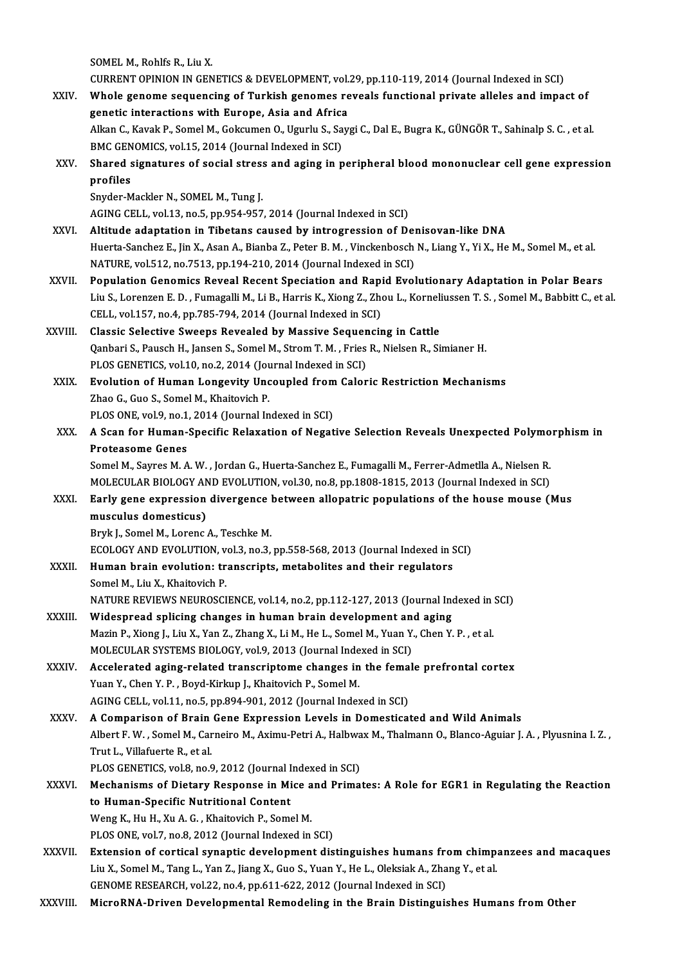SOMEL M., Rohlfs R., Liu X. SOMEL M., Rohlfs R., Liu X.<br>CURRENT OPINION IN GENETICS & DEVELOPMENT, vol.29, pp.110-119, 2014 (Journal Indexed in SCI)<br>Whole genere sequencing of Turkish generas reveals functional private alleles and impec SOMEL M., Rohlfs R., Liu X.<br>CURRENT OPINION IN GENETICS & DEVELOPMENT, vol.29, pp.110-119, 2014 (Journal Indexed in SCI)<br>XXIV. Whole genome sequencing of Turkish genomes reveals functional private alleles and impact of CURRENT OPINION IN GENETICS & DEVELOPMENT, vol.<br>Whole genome sequencing of Turkish genomes re<br>genetic interactions with Europe, Asia and Africa<br>Allian C. Kavak B. Samel M. Cokayman O. Havaky S. Sav Whole genome sequencing of Turkish genomes reveals functional private alleles and impact of genetic interactions with Europe, Asia and Africa<br>Alkan C., Kavak P., Somel M., Gokcumen O., Ugurlu S., Saygi C., Dal E., Bugra K. genetic interactions with Europe, Asia and Africa Alkan C., Kavak P., Somel M., Gokcumen O., Ugurlu S., Saygi C., Dal E., Bugra K., GÜNGÖR T., Sahinalp S. C. , et al.<br>BMC GENOMICS, vol.15, 2014 (Journal Indexed in SCI)<br>XXV. Shared signatures of social stress and aging in BMC GEN<br>Shared<br>profiles<br><sup>Snuder M</sup> Shared signatures of social stres:<br>profiles<br>Snyder-Mackler N., SOMEL M., Tung J.<br>ACINC CELL, vol.12, po 5, pp.954, 957 profiles<br>Snyder-Mackler N., SOMEL M., Tung J.<br>AGING CELL, vol.13, no.5, pp.954-957, 2014 (Journal Indexed in SCI) Snyder-Mackler N., SOMEL M., Tung J.<br>AGING CELL, vol.13, no.5, pp.954-957, 2014 (Journal Indexed in SCI)<br>XXVI. Altitude adaptation in Tibetans caused by introgression of Denisovan-like DNA<br>Huerta Sansher E. Jin Y. Asan A. Huerta-Sanchez E., Jin X., Asan A., Bianba Z., Peter B. M. , Vinckenbosch N., Liang Y., Yi X., He M., Somel M., et al.<br>NATURE, vol.512, no.7513, pp.194-210, 2014 (Journal Indexed in SCI) Altitude adaptation in Tibetans caused by introgression of Del<br>Huerta-Sanchez E., Jin X., Asan A., Bianba Z., Peter B. M. , Vinckenbosch<br>NATURE, vol.512, no.7513, pp.194-210, 2014 (Journal Indexed in SCI)<br>Population Conomi Huerta-Sanchez E., Jin X., Asan A., Bianba Z., Peter B. M., Vinckenbosch N., Liang Y., Yi X., He M., Somel M., et al.<br>NATURE, vol.512, no.7513, pp.194-210, 2014 (Journal Indexed in SCI)<br>XXVII. Population Genomics Reveal Re NATURE, vol.512, no.7513, pp.194-210, 2014 (Journal Indexed in SCI)<br>Population Genomics Reveal Recent Speciation and Rapid Evolutionary Adaptation in Polar Bears<br>Liu S., Lorenzen E. D. , Fumagalli M., Li B., Harris K., Xio Population Genomics Reveal Recent Speciation and Rapi<br>Liu S., Lorenzen E. D. , Fumagalli M., Li B., Harris K., Xiong Z., Zho<br>CELL, vol.157, no.4, pp.785-794, 2014 (Journal Indexed in SCI)<br>Classis Selective Sweeps Boyealed Liu S., Lorenzen E. D. , Fumagalli M., Li B., Harris K., Xiong Z., Zhou L., Korneli<br>CELL, vol.157, no.4, pp.785-794, 2014 (Journal Indexed in SCI)<br>XXVIII. Classic Selective Sweeps Revealed by Massive Sequencing in Cattle<br>C CELL, vol.157, no.4, pp.785-794, 2014 (Journal Indexed in SCI)<br>Classic Selective Sweeps Revealed by Massive Sequencing in Cattle<br>Qanbari S., Pausch H., Jansen S., Somel M., Strom T. M. , Fries R., Nielsen R., Simianer H.<br>P Classic Selective Sweeps Revealed by Massive Sequen<br>Qanbari S., Pausch H., Jansen S., Somel M., Strom T. M. , Fries<br>PLOS GENETICS, vol.10, no.2, 2014 (Journal Indexed in SCI)<br>Fyolution of Human Longevity Ungeunled from Col Qanbari S., Pausch H., Jansen S., Somel M., Strom T. M., Fries R., Nielsen R., Simianer H.<br>PLOS GENETICS, vol.10, no.2, 2014 (Journal Indexed in SCI)<br>XXIX. Evolution of Human Longevity Uncoupled from Caloric Restriction Me PLOS GENETICS, vol.10, no.2, 2014 (Jou<br>**Evolution of Human Longevity Unc**<br>Zhao G., Guo S., Somel M., Khaitovich P.<br>PLOS ONE vol.9, no.1, 2014 (Journal In Evolution of Human Longevity Uncoupled from<br>Zhao G., Guo S., Somel M., Khaitovich P.<br>PLOS ONE, vol.9, no.1, 2014 (Journal Indexed in SCI)<br>A Scan for Human Specific Pelayation of Negat Zhao G., Guo S., Somel M., Khaitovich P.<br>PLOS ONE, vol.9, no.1, 2014 (Journal Indexed in SCI)<br>XXX. A Scan for Human-Specific Relaxation of Negative Selection Reveals Unexpected Polymorphism in<br>Protectores Cones PLOS ONE, vol.9, no.1<br>A Scan for Human-<br>Proteasome Genes<br>Somel M. Saures M. A A Scan for Human-Specific Relaxation of Negative Selection Reveals Unexpected Polymo<br>Proteasome Genes<br>Somel M., Sayres M. A. W. , Jordan G., Huerta-Sanchez E., Fumagalli M., Ferrer-Admetlla A., Nielsen R.<br>MOLECULAR RIOLOCY Proteasome Genes<br>Somel M., Sayres M. A. W. , Jordan G., Huerta-Sanchez E., Fumagalli M., Ferrer-Admetlla A., Nielsen R.<br>MOLECULAR BIOLOGY AND EVOLUTION, vol.30, no.8, pp.1808-1815, 2013 (Journal Indexed in SCI)<br>Farly gene Somel M., Sayres M. A. W. , Jordan G., Huerta-Sanchez E., Fumagalli M., Ferrer-Admetlla A., Nielsen R.<br>MOLECULAR BIOLOGY AND EVOLUTION, vol.30, no.8, pp.1808-1815, 2013 (Journal Indexed in SCI)<br>XXXI. Early gene expression MOLECULAR BIOLOGY AN<br>Early gene expression<br>musculus domesticus)<br>Pruk L Somel M Lerenc Bryk J., Somel M., Lorenc A., Teschke M. musculus domesticus)<br>Bryk J., Somel M., Lorenc A., Teschke M.<br>ECOLOGY AND EVOLUTION, vol.3, no.3, pp.558-568, 2013 (Journal Indexed in SCI)<br>Human brain evolution: transquinte, metabolites and their regulators. Bryk J., Somel M., Lorenc A., Teschke M.<br>ECOLOGY AND EVOLUTION, vol.3, no.3, pp.558-568, 2013 (Journal Indexed in S<br>XXXII. Human brain evolution: transcripts, metabolites and their regulators<br>Samel M. Liv. Y. Khaitovish P. ECOLOGY AND EVOLUTION, v<br>Human brain evolution: tr<br>Somel M., Liu X., Khaitovich P.<br>NATURE REVIEWS NEUPOSCI Human brain evolution: transcripts, metabolites and their regulators<br>Somel M., Liu X., Khaitovich P.<br>NATURE REVIEWS NEUROSCIENCE, vol.14, no.2, pp.112-127, 2013 (Journal Indexed in SCI)<br>Wideenreed enliging changes in buman Somel M., Liu X., Khaitovich P.<br>NATURE REVIEWS NEUROSCIENCE, vol.14, no.2, pp.112-127, 2013 (Journal Inc<br>XXXIII. Widespread splicing changes in human brain development and aging<br>Marin B. Vieng L. Liu X. Van Z. Zhang X. Li. NATURE REVIEWS NEUROSCIENCE, vol.14, no.2, pp.112-127, 2013 (Journal Indexed in<br>Widespread splicing changes in human brain development and aging<br>Mazin P., Xiong J., Liu X., Yan Z., Zhang X., Li M., He L., Somel M., Yuan Y. Widespread splicing changes in human brain development an<br>Mazin P., Xiong J., Liu X., Yan Z., Zhang X., Li M., He L., Somel M., Yuan Y.<br>MOLECULAR SYSTEMS BIOLOGY, vol.9, 2013 (Journal Indexed in SCI)<br>Accelerated eging rela Mazin P., Xiong J., Liu X., Yan Z., Zhang X., Li M., He L., Somel M., Yuan Y., Chen Y. P. , et al.<br>MOLECULAR SYSTEMS BIOLOGY, vol.9, 2013 (Journal Indexed in SCI)<br>XXXIV. Accelerated aging-related transcriptome changes in t MOLECULAR SYSTEMS BIOLOGY, vol.9, 2013 (Journal Indexed in SCI)<br>Accelerated aging-related transcriptome changes in the femal<br>Yuan Y., Chen Y. P., Boyd-Kirkup J., Khaitovich P., Somel M.<br>AGING CELL, vol.11, no.5, pp.894-901 Accelerated aging-related transcriptome changes in the female prefrontal cortex XXXV. A Comparison of Brain Gene Expression Levels in Domesticated and Wild Animals AGING CELL, vol.11, no.5, pp.894-901, 2012 (Journal Indexed in SCI)<br>A Comparison of Brain Gene Expression Levels in Domesticated and Wild Animals<br>Albert F. W. , Somel M., Carneiro M., Aximu-Petri A., Halbwax M., Thalmann O Trut L., Villafuerte R., et al. Albert F. W. , Somel M., Carneiro M., Aximu-Petri A., Halbwa<br>Trut L., Villafuerte R., et al.<br>PLOS GENETICS, vol.8, no.9, 2012 (Journal Indexed in SCI)<br>Mechanisms of Distany Beanonse in Mise and Brime: Trut L., Villafuerte R., et al.<br>PLOS GENETICS, vol.8, no.9, 2012 (Journal Indexed in SCI)<br>XXXVI. Mechanisms of Dietary Response in Mice and Primates: A Role for EGR1 in Regulating the Reaction<br>to Human Specific Nutritional PLOS GENETICS, vol.8, no.9, 2012 (Journal Indexed in SCI)<br>Mechanisms of Dietary Response in Mice and Prima<br>to Human-Specific Nutritional Content<br>Weng K., Hu H., Xu A. G., Khaitovich P., Somel M. Mechanisms of Dietary Response in Mice a<br>to Human-Specific Nutritional Content<br>Weng K., Hu H., Xu A. G. , Khaitovich P., Somel M.<br>PLOS ONE vel 7, no 9, 2012 (Journal Indeved in PLOS ONE, vol.7, no.8, 2012 (Journal Indexed in SCI) Weng K., Hu H., Xu A. G. , Khaitovich P., Somel M.<br>PLOS ONE, vol.7, no.8, 2012 (Journal Indexed in SCI)<br>XXXVII. Extension of cortical synaptic development distinguishes humans from chimpanzees and macaques<br>Liu X. Somel M. PLOS ONE, vol.7, no.8, 2012 (Journal Indexed in SCI)<br>Extension of cortical synaptic development distinguishes humans from chimp.<br>Liu X., Somel M., Tang L., Yan Z., Jiang X., Guo S., Yuan Y., He L., Oleksiak A., Zhang Y., e Extension of cortical synaptic development distinguishes humans fro<br>Liu X., Somel M., Tang L., Yan Z., Jiang X., Guo S., Yuan Y., He L., Oleksiak A., Zha<br>GENOME RESEARCH, vol.22, no.4, pp.611-622, 2012 (Journal Indexed in Liu X., Somel M., Tang L., Yan Z., Jiang X., Guo S., Yuan Y., He L., Oleksiak A., Zhang Y., et al.<br>GENOME RESEARCH, vol.22, no.4, pp.611-622, 2012 (Journal Indexed in SCI)<br>XXXVIII. MicroRNA-Driven Developmental Remodel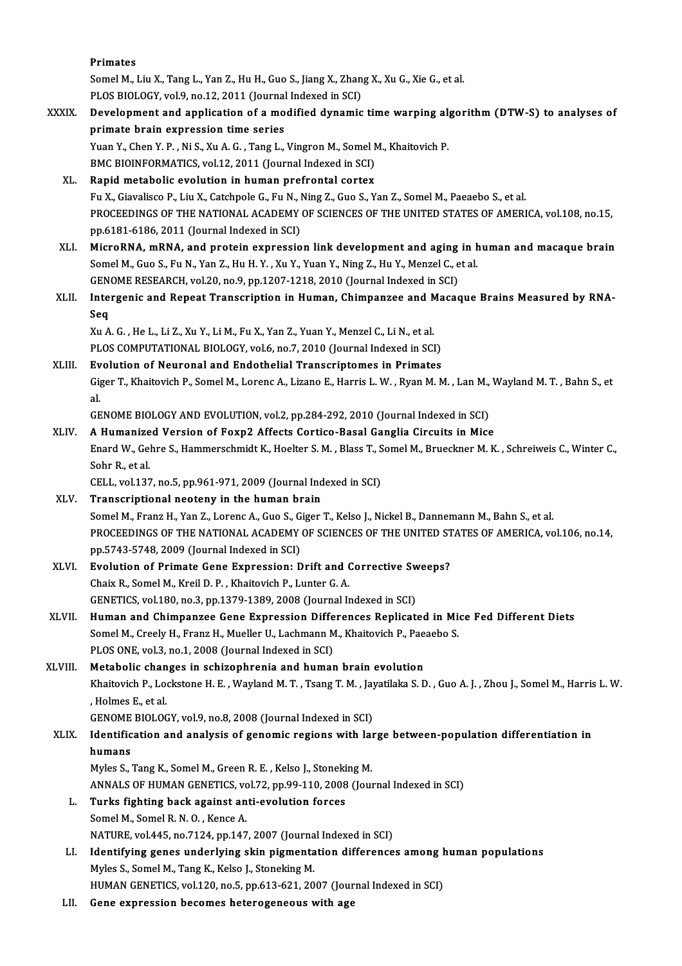|              | Primates                                                                                                                 |
|--------------|--------------------------------------------------------------------------------------------------------------------------|
|              | Somel M., Liu X., Tang L., Yan Z., Hu H., Guo S., Jiang X., Zhang X., Xu G., Xie G., et al.                              |
|              | PLOS BIOLOGY, vol.9, no.12, 2011 (Journal Indexed in SCI)                                                                |
| <b>XXXIX</b> | Development and application of a modified dynamic time warping algorithm (DTW-S) to analyses of                          |
|              | primate brain expression time series                                                                                     |
|              | Yuan Y., Chen Y. P., Ni S., Xu A. G., Tang L., Vingron M., Somel M., Khaitovich P.                                       |
|              | BMC BIOINFORMATICS, vol.12, 2011 (Journal Indexed in SCI)                                                                |
| XL.          | Rapid metabolic evolution in human prefrontal cortex                                                                     |
|              | Fu X., Giavalisco P., Liu X., Catchpole G., Fu N., Ning Z., Guo S., Yan Z., Somel M., Paeaebo S., et al.                 |
|              | PROCEEDINGS OF THE NATIONAL ACADEMY OF SCIENCES OF THE UNITED STATES OF AMERICA, vol.108, no.15,                         |
|              | pp.6181-6186, 2011 (Journal Indexed in SCI)                                                                              |
| XLI.         | MicroRNA, mRNA, and protein expression link development and aging in human and macaque brain                             |
|              | Somel M., Guo S., Fu N., Yan Z., Hu H. Y., Xu Y., Yuan Y., Ning Z., Hu Y., Menzel C., et al.                             |
|              | GENOME RESEARCH, vol.20, no.9, pp.1207-1218, 2010 (Journal Indexed in SCI)                                               |
| XLII.        | Intergenic and Repeat Transcription in Human, Chimpanzee and Macaque Brains Measured by RNA-                             |
|              | Seq                                                                                                                      |
|              | Xu A. G., He L., Li Z., Xu Y., Li M., Fu X., Yan Z., Yuan Y., Menzel C., Li N., et al.                                   |
|              | PLOS COMPUTATIONAL BIOLOGY, vol.6, no.7, 2010 (Journal Indexed in SCI)                                                   |
| XLIII.       | Evolution of Neuronal and Endothelial Transcriptomes in Primates                                                         |
|              | Giger T., Khaitovich P., Somel M., Lorenc A., Lizano E., Harris L. W., Ryan M. M., Lan M., Wayland M. T., Bahn S., et    |
|              | al.                                                                                                                      |
|              | GENOME BIOLOGY AND EVOLUTION, vol.2, pp.284-292, 2010 (Journal Indexed in SCI)                                           |
| XLIV.        | A Humanized Version of Foxp2 Affects Cortico-Basal Ganglia Circuits in Mice                                              |
|              | Enard W., Gehre S., Hammerschmidt K., Hoelter S. M., Blass T., Somel M., Brueckner M. K., Schreiweis C., Winter C.,      |
|              | Sohr R, et al.                                                                                                           |
| XLV.         | CELL, vol.137, no.5, pp.961-971, 2009 (Journal Indexed in SCI)                                                           |
|              | Transcriptional neoteny in the human brain                                                                               |
|              | Somel M., Franz H., Yan Z., Lorenc A., Guo S., Giger T., Kelso J., Nickel B., Dannemann M., Bahn S., et al.              |
|              | PROCEEDINGS OF THE NATIONAL ACADEMY OF SCIENCES OF THE UNITED STATES OF AMERICA, vol.106, no.14,                         |
|              | pp.5743-5748, 2009 (Journal Indexed in SCI)<br>Evolution of Primate Gene Expression: Drift and Corrective Sweeps?        |
| XLVI.        | Chaix R., Somel M., Kreil D. P., Khaitovich P., Lunter G. A.                                                             |
|              | GENETICS, vol.180, no.3, pp.1379-1389, 2008 (Journal Indexed in SCI)                                                     |
| <b>XLVII</b> | Human and Chimpanzee Gene Expression Differences Replicated in Mice Fed Different Diets                                  |
|              | Somel M., Creely H., Franz H., Mueller U., Lachmann M., Khaitovich P., Paeaebo S.                                        |
|              | PLOS ONE, vol.3, no.1, 2008 (Journal Indexed in SCI)                                                                     |
| XLVIII.      | Metabolic changes in schizophrenia and human brain evolution                                                             |
|              | Khaitovich P., Lockstone H. E., Wayland M. T., Tsang T. M., Jayatilaka S. D., Guo A. J., Zhou J., Somel M., Harris L. W. |
|              | , Holmes E, et al.                                                                                                       |
|              | GENOME BIOLOGY, vol 9, no.8, 2008 (Journal Indexed in SCI)                                                               |
| XLIX.        | Identification and analysis of genomic regions with large between-population differentiation in                          |
|              | humans                                                                                                                   |
|              | Myles S., Tang K., Somel M., Green R. E., Kelso J., Stoneking M.                                                         |
|              | ANNALS OF HUMAN GENETICS, vol.72, pp.99-110, 2008 (Journal Indexed in SCI)                                               |
| L.           | Turks fighting back against anti-evolution forces                                                                        |
|              | Somel M., Somel R. N. O., Kence A.                                                                                       |
|              | NATURE, vol.445, no.7124, pp.147, 2007 (Journal Indexed in SCI)                                                          |
| LI.          | Identifying genes underlying skin pigmentation differences among human populations                                       |
|              | Myles S., Somel M., Tang K., Kelso J., Stoneking M.                                                                      |
|              | HUMAN GENETICS, vol.120, no.5, pp.613-621, 2007 (Journal Indexed in SCI)                                                 |
| LII.         | Gene expression becomes heterogeneous with age                                                                           |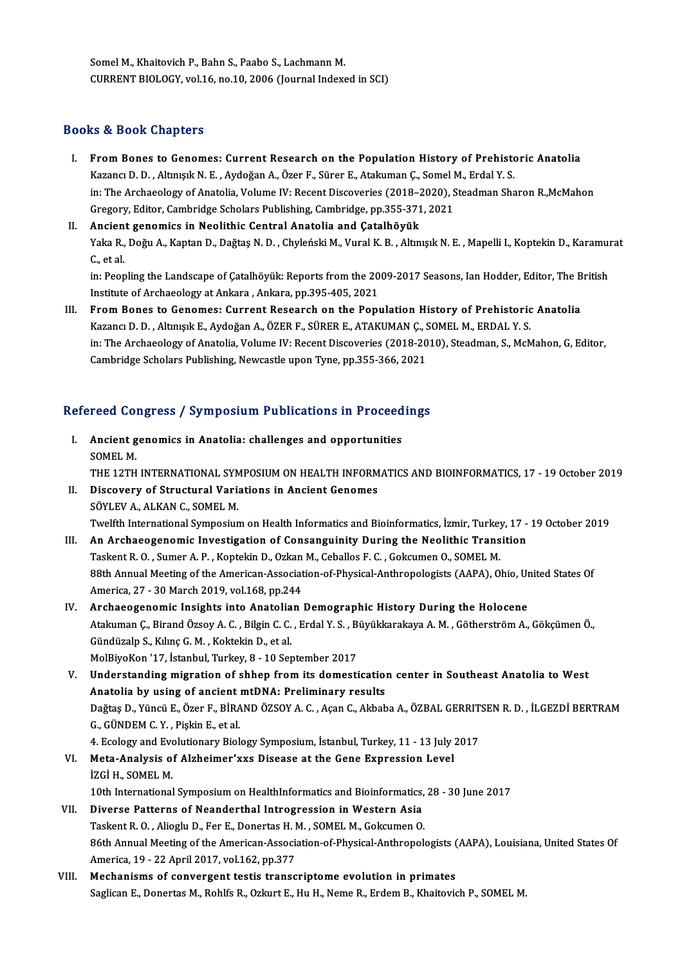Somel M., Khaitovich P., Bahn S., Paabo S., Lachmann M. CURRENT BIOLOGY, vol.16, no.10, 2006 (Journal Indexed in SCI)

### Books&Book Chapters

OOks & Book Chapters<br>I. From Bones to Genomes: Current Research on the Population History of Prehistoric Anatolia<br>Karancy D. D. Altmurk N. E. Aydeğan A. Özer E. Sürer E. Atakuman G. Samel M. Erdal V. S. Kazancı Doori Shapesi'de<br>Kazancı D. D. , Altınışık N. E. , Aydoğan A., Özer F., Sürer E., Atakuman Ç., Somel M., Erdal Y. S.<br>İn: The Archaeology of Anatolia Volume W. Besont Dissousries (2019, 2020), Steedman Sha in: The Archaeology of Anatolia, Volume IV: Recent Discoveries (2018–2020), Steadman Sharon R.,McMahon<br>Gregory, Editor, Cambridge Scholars Publishing, Cambridge, pp.355-371, 2021 Kazancı D. D., Altınışık N. E., Aydoğan A., Özer F., Sürer E., Atakuman Ç., Somel M., Erdal Y. S.

## II. Ancient genomics in Neolithic Central Anatolia and Catalhöyük Gregory, Editor, Cambridge Scholars Publishing, Cambridge, pp.355-371, 2021<br><mark>Ancient genomics in Neolithic Central Anatolia and Çatalhöyük</mark><br>Yaka R., Doğu A., Kaptan D., Dağtaş N. D. , Chyleński M., Vural K. B. , Altınışık Ancien<br>Yaka R.,<br>C., et al.<br>in: Been Yaka R., Doğu A., Kaptan D., Dağtaş N. D. , Chyleński M., Vural K. B. , Altınışık N. E. , Mapelli I., Koptekin D., Karamuı<br>C., et al.<br>in: Peopling the Landscape of Çatalhöyük: Reports from the 2009-2017 Seasons, Ian Hodder

C., et al.<br>in: Peopling the Landscape of Çatalhöyük: Reports from the 2009-2017 Seasons, Ian Hodder, Editor, The British<br>Institute of Archaeology at Ankara , Ankara, pp.395-405, 2021

III. From Bones to Genomes: Current Research on the Population History of Prehistoric Anatolia Institute of Archaeology at Ankara , Ankara, pp.395-405, 2021<br>From Bones to Genomes: Current Research on the Population History of Prehistoric<br>Kazancı D. D. , Altınışık E., Aydoğan A., ÖZER F., SÜRER E., ATAKUMAN Ç., SOMEL in: The Archaeology of Anatolia, Volume IV: Recent Discoveries (2018-2010), Steadman, S., McMahon, G, Editor,<br>Cambridge Scholars Publishing, Newcastle upon Tyne, pp.355-366, 2021 Kazancı D. D. , Altınışık E., Aydoğan A., ÖZER F., SÜRER E., ATAKUMAN Ç., S<br>in: The Archaeology of Anatolia, Volume IV: Recent Discoveries (2018-20<br>Cambridge Scholars Publishing, Newcastle upon Tyne, pp.355-366, 2021

# cambridge scholars Publishing, Newcasue upon Tyne, pp.355-366, 2021<br>Refereed Congress / Symposium Publications in Proceedings

- efereed Congress / Symposium Publications in Proceed<br>I. Ancient genomics in Anatolia: challenges and opportunities<br>SOMELM I. Ancient genomics in Anatolia: challenges and opportunities<br>SOMEL M. THE 12TH INTERNATIONAL SYMPOSIUM ON HEALTH INFORMATICS AND BIOINFORMATICS, 17 - 19 October 2019 SOMEL M.<br>THE 12TH INTERNATIONAL SYMPOSIUM ON HEALTH INFORM<br>II. Discovery of Structural Variations in Ancient Genomes<br>SÖVLEV A ALKAN G SOMEL M THE 12TH INTERNATIONAL SYM<br>Discovery of Structural Varia<br>SÖYLEV A., ALKAN C., SOMEL M.<br>Tuglith International Sumposium SÖYLEV A., ALKAN C., SOMEL M.<br>Twelfth International Symposium on Health Informatics and Bioinformatics, İzmir, Turkey, 17 - 19 October 2019 III. An Archaeogenomic Investigation of Consanguinity During the Neolithic Transition Twelfth International Symposium on Health Informatics and Bioinformatics, İzmir, Turkey<br>An Archaeogenomic Investigation of Consanguinity During the Neolithic Trans<br>Taskent R. O., Sumer A. P., Koptekin D., Ozkan M., Ceballo
- 88th Annual Meeting of the American-Association-of-Physical-Anthropologists (AAPA), Ohio, United States Of America, 27 30 March 2019, vol.168, pp.244 Taskent R. O. , Sumer A. P. , Koptekin D., Ozkan<br>88th Annual Meeting of the American-Associat<br>America, 27 - 30 March 2019, vol.168, pp.244<br>Arshaeograpemis Insishts into Anatolian 88th Annual Meeting of the American-Association-of-Physical-Anthropologists (AAPA), Ohio, Ur<br>America, 27 - 30 March 2019, vol.168, pp.244<br>IV. Archaeogenomic Insights into Anatolian Demographic History During the Holocene<br>A
- America, 27 30 March 2019, vol.168, pp.244<br>Archaeogenomic Insights into Anatolian Demographic History During the Holocene<br>Atakuman Ç., Birand Özsoy A. C. , Bilgin C. C. , Erdal Y. S. , Büyükkarakaya A. M. , Götherström A Archaeogenomic Insights into Anatolia<br>Atakuman Ç., Birand Özsoy A. C. , Bilgin C. C.<br>Gündüzalp S., Kılınç G. M. , Koktekin D., et al.<br>MolBiyoKon '17, İstanbul Turkay 8, 10 Ser Atakuman Ç., Birand Özsoy A. C. , Bilgin C. C. , Erdal Y. S. , B.<br>Gündüzalp S., Kılınç G. M. , Koktekin D., et al.<br>MolBiyoKon '17, İstanbul, Turkey, 8 - 10 September 2017<br>Understanding migration of shhan from its domesti Gündüzalp S., Kılınç G. M. , Koktekin D., et al.<br>MolBiyoKon '17, İstanbul, Turkey, 8 - 10 September 2017<br>V. Understanding migration of shhep from its domestication center in Southeast Anatolia to West<br>Anatolia by using of
- MolBiyoKon '17, İstanbul, Turkey, 8 10 September 2017<br>Understanding migration of shhep from its domestication<br>Anatolia by using of ancient mtDNA: Preliminary results<br>Dağtas D. Yüngü E. Özer E. BİRAND ÖZSOYA C. Asən C. Ak Understanding migration of shhep from its domestication center in Southeast Anatolia to West<br>Anatolia by using of ancient mtDNA: Preliminary results<br>Dağtaş D., Yüncü E., Özer F., BİRAND ÖZSOY A. C. , Açan C., Akbaba A., ÖZ Anatolia by using of ancient<br>Dağtaş D., Yüncü E., Özer F., BİRA<br>G., GÜNDEM C. Y. , Pişkin E., et al.<br>4. Esology and Evolutionewy Biol. Dağtaş D., Yüncü E., Özer F., BİRAND ÖZSOY A. C. , Açan C., Akbaba A., ÖZBAL GERRIT.<br>G., GÜNDEM C. Y. , Pişkin E., et al.<br>4. Ecology and Evolutionary Biology Symposium, İstanbul, Turkey, 11 - 13 July 2017<br>Meta Analysis of
- G., GÜNDEM C. Y. , Pişkin E., et al.<br>4. Ecology and Evolutionary Biology Symposium, İstanbul, Turkey, 11 13 July :<br>VI. Meta-Analysis of Alzheimer'xxs Disease at the Gene Expression Level<br>izci u. SOMEL M 4. Ecology and Eve<br>Meta-Analysis o<br>İZGİ H., SOMEL M.<br>10th International izGi H., SOMEL M.<br>10th International Symposium on HealthInformatics and Bioinformatics, 28 - 30 June 2017

## iZGİ H., SOMEL M.<br>10th International Symposium on HealthInformatics and Bioinformatics,<br>VII. Diverse Patterns of Neanderthal Introgression in Western Asia<br>Technot B.O., Alicely D. For E. Donortes H.M. SOMEL M. Gelraumen O. 10th International Symposium on HealthInformatics and Bioinformatics,<br>Diverse Patterns of Neanderthal Introgression in Western Asia<br>Taskent R. O., Alioglu D., Fer E., Donertas H. M., SOMEL M., Gokcumen O.<br>96th Annual Meeti Taskent R. O. , Alioglu D., Fer E., Donertas H. M. , SOMEL M., Gokcumen O.<br>86th Annual Meeting of the American-Association-of-Physical-Anthropologists (AAPA), Louisiana, United States Of America, 19 - 22 April 2017, vol.162, pp.377

VIII. Mechanisms of convergent testis transcriptome evolution in primates Saglican E., Donertas M., Rohlfs R., Ozkurt E., Hu H., Neme R., Erdem B., Khaitovich P., SOMEL M.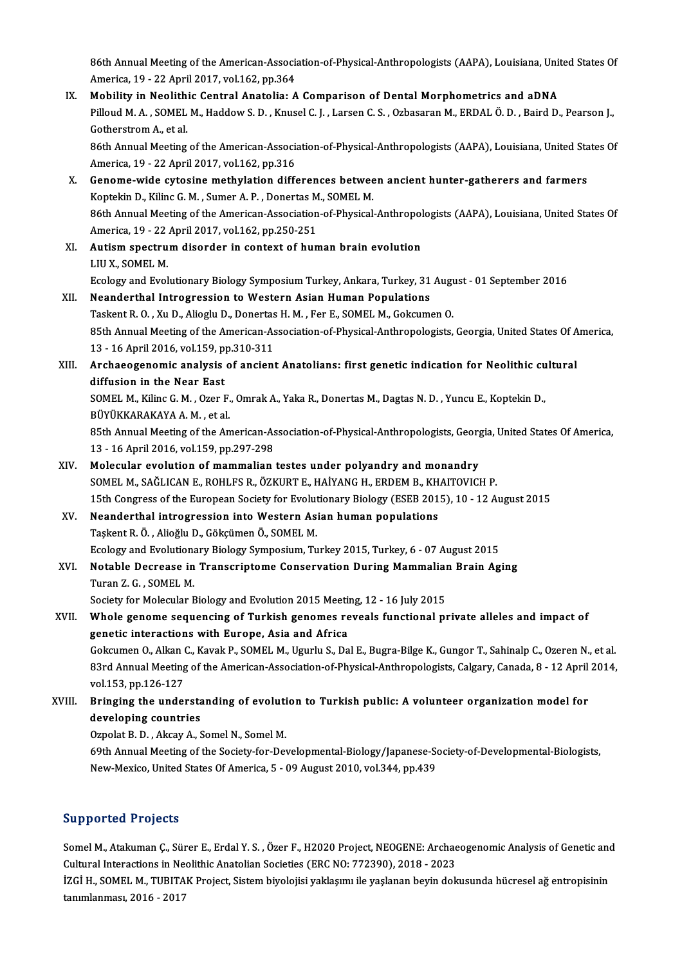86th Annual Meeting of the American-Association-of-Physical-Anthropologists (AAPA), Louisiana, United States Of<br>America, 19,, 22 Anril 2017, vol.162, nn 264 86th Annual Meeting of the American-Associa<br>America, 19 - 22 April 2017, vol.162, pp.364<br>Mobility in Neelithis Centrel Anstalie: A 86th Annual Meeting of the American-Association-of-Physical-Anthropologists (AAPA), Louisiana, Unit<br>America, 19 - 22 April 2017, vol.162, pp.364<br>IX. Mobility in Neolithic Central Anatolia: A Comparison of Dental Morphometr

America, 19 - 22 April 2017, vol.162, pp.364<br>Mobility in Neolithic Central Anatolia: A Comparison of Dental Morphometrics and aDNA<br>Pilloud M. A. , SOMEL M., Haddow S. D. , Knusel C. J. , Larsen C. S. , Ozbasaran M., ERDAL Mobility in Neolithic Central Anatolia: A Comparison of Dental Morphometrics and aDNA Pilloud M. A. , SOMEL M., Haddow S. D. , Knusel C. J. , Larsen C. S. , Ozbasaran M., ERDAL Ö. D. , Baird D., Pearson J.,<br>Gotherstrom A., et al.<br>86th Annual Meeting of the American-Association-of-Physical-Anthropologists (A

Gotherstrom A., et al.<br>86th Annual Meeting of the American-Associa<br>America, 19 - 22 April 2017, vol.162, pp.316<br>Conome wide sytesing methylation diffe 86th Annual Meeting of the American-Association-of-Physical-Anthropologists (AAPA), Louisiana, United Sta<br>America, 19 - 22 April 2017, vol.162, pp.316<br>X. Genome-wide cytosine methylation differences between ancient hunter-

- America, 19 22 April 2017, vol.162, pp.316<br>Genome-wide cytosine methylation differences betwee<br>Koptekin D., Kilinc G. M. , Sumer A. P. , Donertas M., SOMEL M.<br>96th Annual Mesting of the American Association of Physical 6enome-wide cytosine methylation differences between ancient hunter-gatherers and farmers<br>Koptekin D., Kilinc G. M. , Sumer A. P. , Donertas M., SOMEL M.<br>86th Annual Meeting of the American-Association-of-Physical-Anthropo Koptekin D., Kilinc G. M. , Sumer A. P. , Donertas M<br>86th Annual Meeting of the American-Association<br>America, 19 - 22 April 2017, vol.162, pp.250-251<br>Autism spectrum disorder in sentext of bun 86th Annual Meeting of the American-Association-of-Physical-Anthropol<br>America, 19 - 22 April 2017, vol.162, pp.250-251<br>XI. Autism spectrum disorder in context of human brain evolution<br>LILLY SOMEL M
- America, 19 22 April 2017, vol.162, pp.250-251<br>XI. Autism spectrum disorder in context of human brain evolution<br>LIUX., SOMEL M. Autism spectrum disorder in context of human brain evolution<br>LIU X., SOMEL M.<br>Ecology and Evolutionary Biology Symposium Turkey, Ankara, Turkey, 31 August - 01 September 2016<br>Neanderthel Intregressian to Western Asian Huma
- LIU X., SOMEL M.<br>Ecology and Evolutionary Biology Symposium Turkey, Ankara, Turkey, 31<br>XII. Neanderthal Introgression to Western Asian Human Populations<br>Teckent B.O., Yu D. Aliegh: D. Denertee H.M., Eer E. SOMEL M. Gekenm Ecology and Evolutionary Biology Symposium Turkey, Ankara, Turkey, 31 Augu<br>Neanderthal Introgression to Western Asian Human Populations<br>Taskent R. O. , Xu D., Alioglu D., Donertas H. M. , Fer E., SOMEL M., Gokcumen O.<br>85th Neanderthal Introgression to Western Asian Human Populations<br>Taskent R. O. , Xu D., Alioglu D., Donertas H. M. , Fer E., SOMEL M., Gokcumen O.<br>85th Annual Meeting of the American-Association-of-Physical-Anthropologists, Ge Taskent R. O., Xu D., Alioglu D., Donertas H. M., Fer E., SOMEL M., Gokcumen O. 85th Annual Meeting of the American-Association-of-Physical-Anthropologists, Georgia, United States Of A<br>13 - 16 April 2016, vol.159, pp.310-311<br>XIII. Archaeogenomic analysis of ancient Anatolians: first genetic indication
- 13 16 April 2016, vol.159, p<br>Archaeogenomic analysis<br>diffusion in the Near East<br>SOMEL M. Kiling C. M., Oran L Archaeogenomic analysis of ancient Anatolians: first genetic indication for Neolithic cu<br>diffusion in the Near East<br>SOMEL M., Kilinc G. M. , Ozer F., Omrak A., Yaka R., Donertas M., Dagtas N. D. , Yuncu E., Koptekin D.,<br>PÜ

diffusion in the Near East<br>SOMEL M., Kilinc G. M. , Ozer F.<br>BÜYÜKKARAKAYA A. M. , et al.<br>95th Annual Mesting of the An SOMEL M., Kilinc G. M. , Ozer F., Omrak A., Yaka R., Donertas M., Dagtas N. D. , Yuncu E., Koptekin D.,<br>BÜYÜKKARAKAYA A. M. , et al.<br>85th Annual Meeting of the American-Association-of-Physical-Anthropologists, Georgia, Uni

BÜYÜKKARAKAYA A. M. , et al.<br>85th Annual Meeting of the American-As<br>13 - 16 April 2016, vol.159, pp.297-298<br>Melacular evolution of mammalian 85th Annual Meeting of the American-Association-of-Physical-Anthropologists, Georg<br>13 - 16 April 2016, vol.159, pp.297-298<br>XIV. Molecular evolution of mammalian testes under polyandry and monandry<br>SOMEL M. SAČLICAN E. POUL

- 13 16 April 2016, vol.159, pp.297-298<br>Molecular evolution of mammalian testes under polyandry and monandry<br>SOMEL M., SAĞLICAN E., ROHLFS R., ÖZKURT E., HAİYANG H., ERDEM B., KHAITOVICH P.<br>15th Congress of the European So Molecular evolution of mammalian testes under polyandry and monandry<br>SOMEL M., SAĞLICAN E., ROHLFS R., ÖZKURT E., HAİYANG H., ERDEM B., KHAITOVICH P.<br>15th Congress of the European Society for Evolutionary Biology (ESEB 201 SOMEL M., SAĞLICAN E., ROHLFS R., ÖZKURT E., HAİYANG H., ERDEM B., KH<br>15th Congress of the European Society for Evolutionary Biology (ESEB 201<br>XV. Neanderthal introgression into Western Asian human populations<br>Teckent B. Ö
- Taşkent R. Ö., Alioğlu D., Gökçümen Ö., SOMEL M. Neanderthal introgression into Western Asian human populations<br>Taşkent R. Ö. , Alioğlu D., Gökçümen Ö., SOMEL M.<br>Ecology and Evolutionary Biology Symposium, Turkey 2015, Turkey, 6 - 07 August 2015<br>Notable Desresse in Trans Taşkent R. Ö. , Alioğlu D., Gökçümen Ö., SOMEL M.<br>Ecology and Evolutionary Biology Symposium, Turkey 2015, Turkey, 6 - 07 August 2015<br>XVI. Notable Decrease in Transcriptome Conservation During Mammalian Brain Aging<br>Turen 7
- Ecology and Evolution<br>**Notable Decrease in<br>Turan Z.G., SOMEL M.**<br>Society for Molecular E Notable Decrease in Transcriptome Conservation During Mammalian<br>Turan Z. G. , SOMEL M.<br>Society for Molecular Biology and Evolution 2015 Meeting, 12 - 16 July 2015<br>Whole genere sequencing of Turkish generes reveals function

Society for Molecular Biology and Evolution 2015 Meeting, 12 - 16 July 2015

## Turan Z. G., SOMEL M.<br>Society for Molecular Biology and Evolution 2015 Meeting, 12 - 16 July 2015<br>XVII. Whole genome sequencing of Turkish genomes reveals functional private alleles and impact of<br>genetic interactions with Whole genome sequencing of Turkish genomes reveals functional private alleles and impact of<br>genetic interactions with Europe, Asia and Africa<br>Gokcumen O., Alkan C., Kavak P., SOMEL M., Ugurlu S., Dal E., Bugra-Bilge K., Gu

83rd Annual Meeting of the American-Association-of-Physical-Anthropologists, Calgary, Canada, 8 - 12 April 2014, vol.153, pp.126-127 Gokcumen O., Alkan (<br>83rd Annual Meeting<br>vol.153, pp.126-127<br>Bringing the under 83rd Annual Meeting of the American-Association-of-Physical-Anthropologists, Calgary, Canada, 8 - 12 April<br>vol.153, pp.126-127<br>XVIII. Bringing the understanding of evolution to Turkish public: A volunteer organization mode vol.153, pp.126-127<br>Bringing the understa<br>developing countries Bringing the understanding of evoluti<br>developing countries<br>Ozpolat B. D. , Akcay A., Somel N., Somel M.<br>60th Annual Meeting of the Society for Dev

developing countries<br>Ozpolat B. D. , Akcay A., Somel N., Somel M.<br>69th Annual Meeting of the Society-for-Developmental-Biology/Japanese-Society-of-Developmental-Biologists,<br>Naw Marise, United States Of America, E., 09 Aygu Ozpolat B. D. , Akcay A., Somel N., Somel M.<br>69th Annual Meeting of the Society-for-Developmental-Biology/Japanese-So<br>New-Mexico, United States Of America, 5 - 09 August 2010, vol.344, pp.439 New-Mexico, United States Of America, 5 - 09 August 2010, vol.344, pp.439<br>Supported Projects

Supported Projects<br>Somel M., Atakuman Ç., Sürer E., Erdal Y. S. , Özer F., H2020 Project, NEOGENE: Archaeogenomic Analysis of Genetic and<br>Cultural Interactions in Neolithis Anatalian Secistics (EPC NO: 772200), 2018, 2022 Sapportea 119jeers<br>Somel M., Atakuman Ç., Sürer E., Erdal Y. S. , Özer F., H2020 Project, NEOGENE: Archae<br>Cultural Interactions in Neolithic Anatolian Societies (ERC NO: 772390), 2018 - 2023<br>17CLH - SOMEL M. TUBITAN Projec Somel M., Atakuman Ç., Sürer E., Erdal Y. S. , Özer F., H2020 Project, NEOGENE: Archaeogenomic Analysis of Genetic and<br>Cultural Interactions in Neolithic Anatolian Societies (ERC NO: 772390), 2018 - 2023<br>İZGİ H., SOMEL M.,

Cultural Interactions in Neolithic Anatolian Societies (ERC NO: 772390), 2018 - 2023<br>İZGİ H., SOMEL M., TUBITAK Project, Sistem biyolojisi yaklaşımı ile yaşlanan beyin dokusunda hücresel ağ entropisinin<br>tanımlanması, 2016